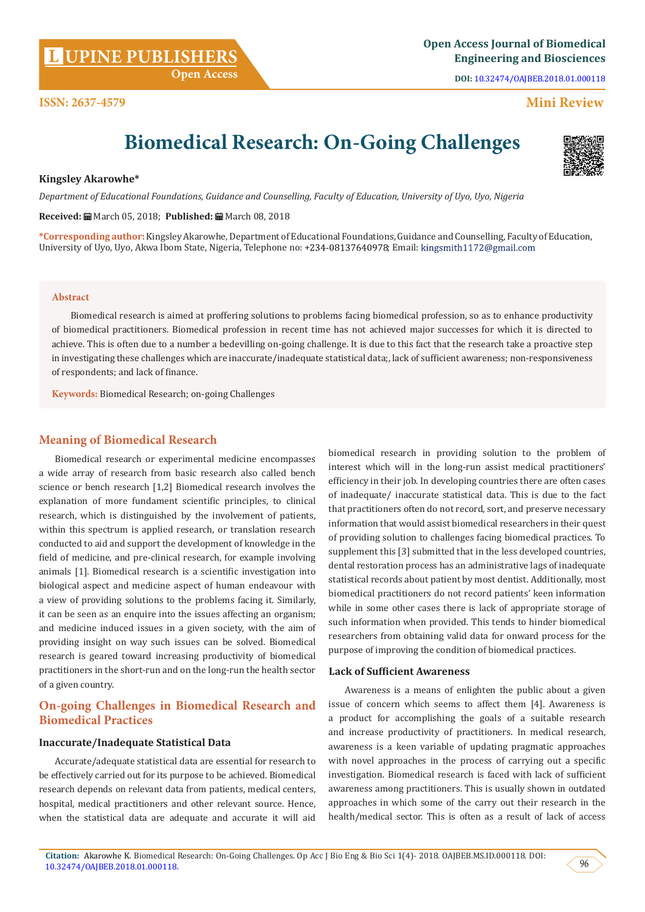**DOI:** [10.32474/OAJBEB.2018.01.000118](http://dx.doi.org/10.32474/OAJBEB.2018.01.000118)

# **Mini Review**

# **Biomedical Research: On-Going Challenges**

# **Kingsley Akarowhe\***

**ISSN: 2637-4579**

*Department of Educational Foundations, Guidance and Counselling, Faculty of Education, University of Uyo, Uyo, Nigeria*

**Received:** March 05, 2018; **Published:** March 08, 2018

**\*Corresponding author:** Kingsley Akarowhe, Department of Educational Foundations, Guidance and Counselling, Faculty of Education, University of Uyo, Uyo, Akwa Ibom State, Nigeria, Telephone no: +234-08137640978; Email: kingsmith1172@gmail.com

### **Abstract**

 Biomedical research is aimed at proffering solutions to problems facing biomedical profession, so as to enhance productivity of biomedical practitioners. Biomedical profession in recent time has not achieved major successes for which it is directed to achieve. This is often due to a number a bedevilling on-going challenge. It is due to this fact that the research take a proactive step in investigating these challenges which are inaccurate/inadequate statistical data;, lack of sufficient awareness; non-responsiveness of respondents; and lack of finance.

**Keywords:** Biomedical Research; on-going Challenges

# **Meaning of Biomedical Research**

Biomedical research or experimental medicine encompasses a wide array of research from basic research also called bench science or bench research [1,2] Biomedical research involves the explanation of more fundament scientific principles, to clinical research, which is distinguished by the involvement of patients, within this spectrum is applied research, or translation research conducted to aid and support the development of knowledge in the field of medicine, and pre-clinical research, for example involving animals [1]. Biomedical research is a scientific investigation into biological aspect and medicine aspect of human endeavour with a view of providing solutions to the problems facing it. Similarly, it can be seen as an enquire into the issues affecting an organism; and medicine induced issues in a given society, with the aim of providing insight on way such issues can be solved. Biomedical research is geared toward increasing productivity of biomedical practitioners in the short-run and on the long-run the health sector of a given country.

# **On-going Challenges in Biomedical Research and Biomedical Practices**

# **Inaccurate/Inadequate Statistical Data**

Accurate/adequate statistical data are essential for research to be effectively carried out for its purpose to be achieved. Biomedical research depends on relevant data from patients, medical centers, hospital, medical practitioners and other relevant source. Hence, when the statistical data are adequate and accurate it will aid

biomedical research in providing solution to the problem of interest which will in the long-run assist medical practitioners' efficiency in their job. In developing countries there are often cases of inadequate/ inaccurate statistical data. This is due to the fact that practitioners often do not record, sort, and preserve necessary information that would assist biomedical researchers in their quest of providing solution to challenges facing biomedical practices. To supplement this [3] submitted that in the less developed countries, dental restoration process has an administrative lags of inadequate statistical records about patient by most dentist. Additionally, most biomedical practitioners do not record patients' keen information while in some other cases there is lack of appropriate storage of such information when provided. This tends to hinder biomedical researchers from obtaining valid data for onward process for the purpose of improving the condition of biomedical practices.

# **Lack of Sufficient Awareness**

Awareness is a means of enlighten the public about a given issue of concern which seems to affect them [4]. Awareness is a product for accomplishing the goals of a suitable research and increase productivity of practitioners. In medical research, awareness is a keen variable of updating pragmatic approaches with novel approaches in the process of carrying out a specific investigation. Biomedical research is faced with lack of sufficient awareness among practitioners. This is usually shown in outdated approaches in which some of the carry out their research in the health/medical sector. This is often as a result of lack of access